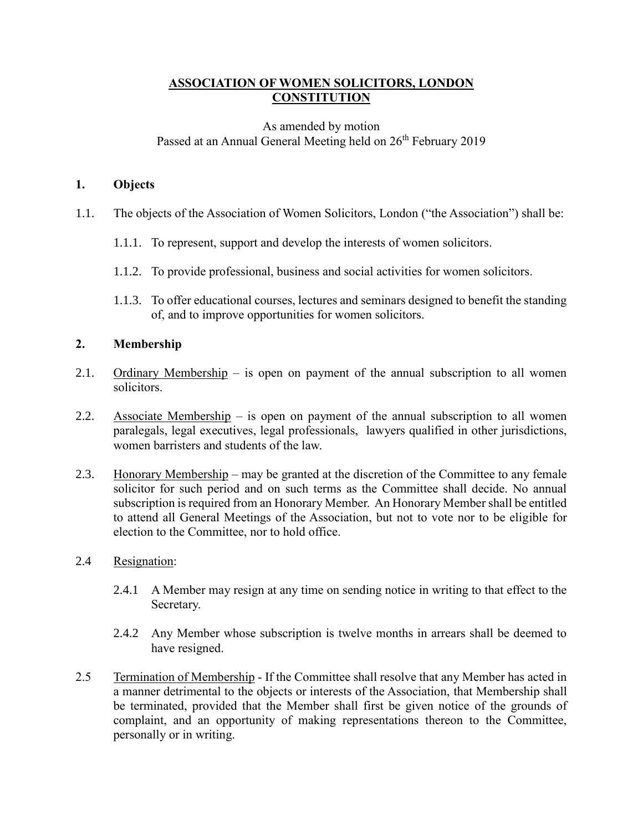# **ASSOCIATION OF WOMEN SOLICITORS, LONDON CONSTITUTION**

# As amended by motion Passed at an Annual General Meeting held on 26<sup>th</sup> February 2019

## **1. Objects**

- 1.1. The objects of the Association of Women Solicitors, London ("the Association") shall be:
	- 1.1.1. To represent, support and develop the interests of women solicitors.
	- 1.1.2. To provide professional, business and social activities for women solicitors.
	- 1.1.3. To offer educational courses, lectures and seminars designed to benefit the standing of, and to improve opportunities for women solicitors.

# **2. Membership**

- 2.1. Ordinary Membership is open on payment of the annual subscription to all women solicitors.
- 2.2. Associate Membership is open on payment of the annual subscription to all women paralegals, legal executives, legal professionals, lawyers qualified in other jurisdictions, women barristers and students of the law.
- 2.3. Honorary Membership may be granted at the discretion of the Committee to any female solicitor for such period and on such terms as the Committee shall decide. No annual subscription is required from an Honorary Member. An Honorary Member shall be entitled to attend all General Meetings of the Association, but not to vote nor to be eligible for election to the Committee, nor to hold office.

## 2.4 Resignation:

- 2.4.1 A Member may resign at any time on sending notice in writing to that effect to the Secretary.
- 2.4.2 Any Member whose subscription is twelve months in arrears shall be deemed to have resigned.
- 2.5 Termination of Membership If the Committee shall resolve that any Member has acted in a manner detrimental to the objects or interests of the Association, that Membership shall be terminated, provided that the Member shall first be given notice of the grounds of complaint, and an opportunity of making representations thereon to the Committee, personally or in writing.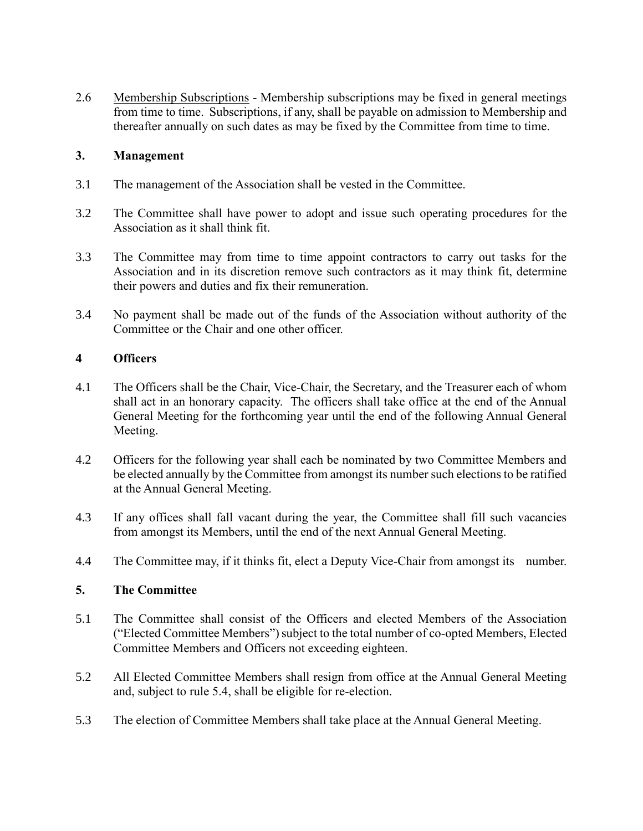2.6 Membership Subscriptions - Membership subscriptions may be fixed in general meetings from time to time. Subscriptions, if any, shall be payable on admission to Membership and thereafter annually on such dates as may be fixed by the Committee from time to time.

## **3. Management**

- 3.1 The management of the Association shall be vested in the Committee.
- 3.2 The Committee shall have power to adopt and issue such operating procedures for the Association as it shall think fit.
- 3.3 The Committee may from time to time appoint contractors to carry out tasks for the Association and in its discretion remove such contractors as it may think fit, determine their powers and duties and fix their remuneration.
- 3.4 No payment shall be made out of the funds of the Association without authority of the Committee or the Chair and one other officer.

# **4 Officers**

- 4.1 The Officers shall be the Chair, Vice-Chair, the Secretary, and the Treasurer each of whom shall act in an honorary capacity. The officers shall take office at the end of the Annual General Meeting for the forthcoming year until the end of the following Annual General Meeting.
- 4.2 Officers for the following year shall each be nominated by two Committee Members and be elected annually by the Committee from amongst its number such elections to be ratified at the Annual General Meeting.
- 4.3 If any offices shall fall vacant during the year, the Committee shall fill such vacancies from amongst its Members, until the end of the next Annual General Meeting.
- 4.4 The Committee may, if it thinks fit, elect a Deputy Vice-Chair from amongst its number.

## **5. The Committee**

- 5.1 The Committee shall consist of the Officers and elected Members of the Association ("Elected Committee Members") subject to the total number of co-opted Members, Elected Committee Members and Officers not exceeding eighteen.
- 5.2 All Elected Committee Members shall resign from office at the Annual General Meeting and, subject to rule 5.4, shall be eligible for re-election.
- 5.3 The election of Committee Members shall take place at the Annual General Meeting.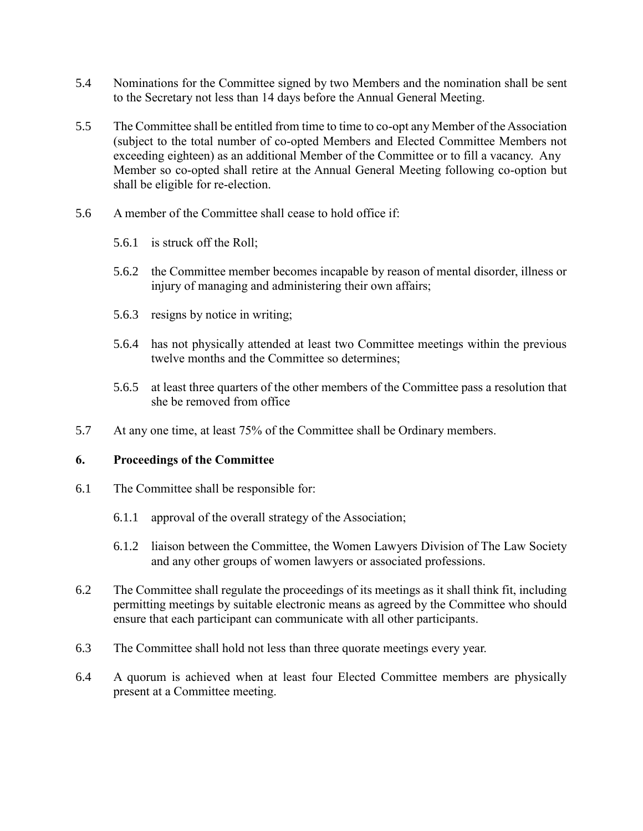- 5.4 Nominations for the Committee signed by two Members and the nomination shall be sent to the Secretary not less than 14 days before the Annual General Meeting.
- 5.5 The Committee shall be entitled from time to time to co-opt any Member of the Association (subject to the total number of co-opted Members and Elected Committee Members not exceeding eighteen) as an additional Member of the Committee or to fill a vacancy. Any Member so co-opted shall retire at the Annual General Meeting following co-option but shall be eligible for re-election.
- 5.6 A member of the Committee shall cease to hold office if:
	- 5.6.1 is struck off the Roll;
	- 5.6.2 the Committee member becomes incapable by reason of mental disorder, illness or injury of managing and administering their own affairs;
	- 5.6.3 resigns by notice in writing;
	- 5.6.4 has not physically attended at least two Committee meetings within the previous twelve months and the Committee so determines;
	- 5.6.5 at least three quarters of the other members of the Committee pass a resolution that she be removed from office
- 5.7 At any one time, at least 75% of the Committee shall be Ordinary members.

### **6. Proceedings of the Committee**

- 6.1 The Committee shall be responsible for:
	- 6.1.1 approval of the overall strategy of the Association;
	- 6.1.2 liaison between the Committee, the Women Lawyers Division of The Law Society and any other groups of women lawyers or associated professions.
- 6.2 The Committee shall regulate the proceedings of its meetings as it shall think fit, including permitting meetings by suitable electronic means as agreed by the Committee who should ensure that each participant can communicate with all other participants.
- 6.3 The Committee shall hold not less than three quorate meetings every year.
- 6.4 A quorum is achieved when at least four Elected Committee members are physically present at a Committee meeting.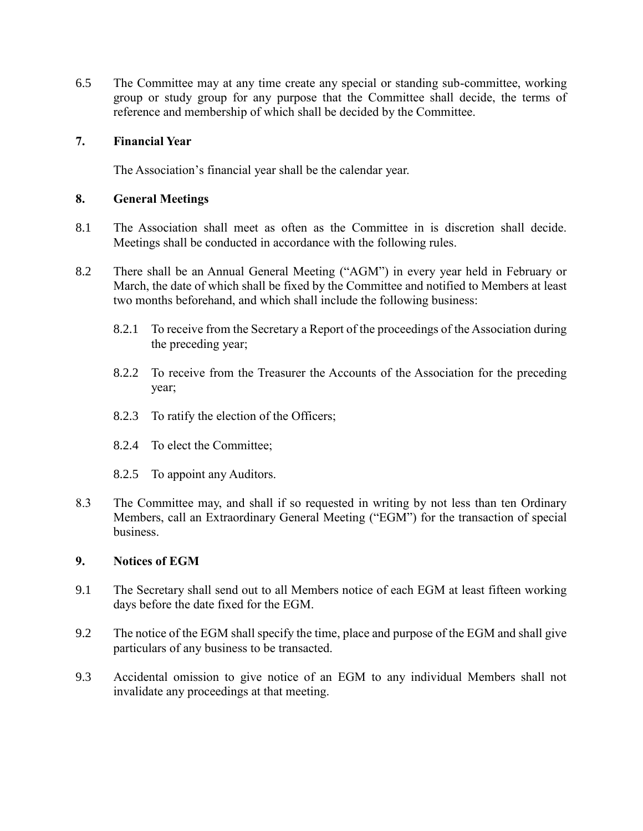6.5 The Committee may at any time create any special or standing sub-committee, working group or study group for any purpose that the Committee shall decide, the terms of reference and membership of which shall be decided by the Committee.

## **7. Financial Year**

The Association's financial year shall be the calendar year.

### **8. General Meetings**

- 8.1 The Association shall meet as often as the Committee in is discretion shall decide. Meetings shall be conducted in accordance with the following rules.
- 8.2 There shall be an Annual General Meeting ("AGM") in every year held in February or March, the date of which shall be fixed by the Committee and notified to Members at least two months beforehand, and which shall include the following business:
	- 8.2.1 To receive from the Secretary a Report of the proceedings of the Association during the preceding year;
	- 8.2.2 To receive from the Treasurer the Accounts of the Association for the preceding year;
	- 8.2.3 To ratify the election of the Officers;
	- 8.2.4 To elect the Committee;
	- 8.2.5 To appoint any Auditors.
- 8.3 The Committee may, and shall if so requested in writing by not less than ten Ordinary Members, call an Extraordinary General Meeting ("EGM") for the transaction of special business.

### **9. Notices of EGM**

- 9.1 The Secretary shall send out to all Members notice of each EGM at least fifteen working days before the date fixed for the EGM.
- 9.2 The notice of the EGM shall specify the time, place and purpose of the EGM and shall give particulars of any business to be transacted.
- 9.3 Accidental omission to give notice of an EGM to any individual Members shall not invalidate any proceedings at that meeting.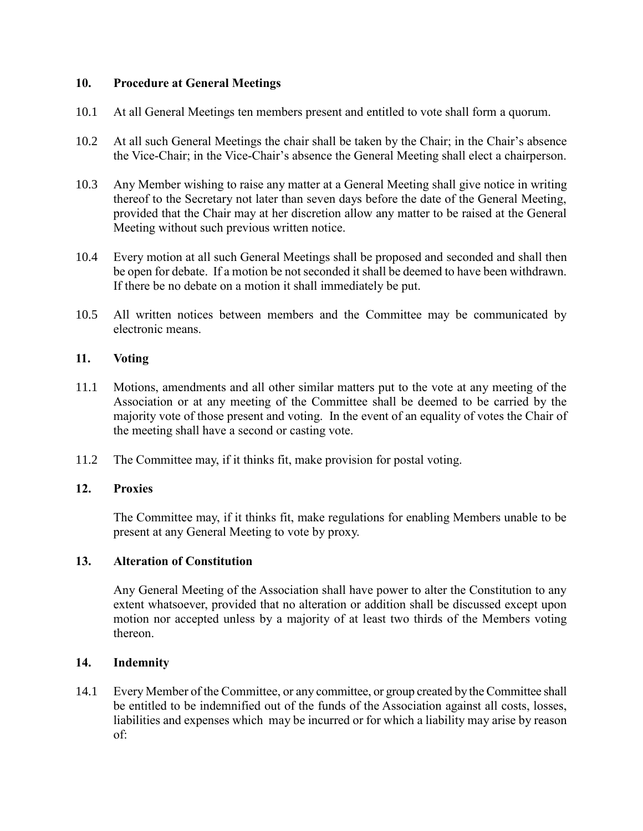## **10. Procedure at General Meetings**

- 10.1 At all General Meetings ten members present and entitled to vote shall form a quorum.
- 10.2 At all such General Meetings the chair shall be taken by the Chair; in the Chair's absence the Vice-Chair; in the Vice-Chair's absence the General Meeting shall elect a chairperson.
- 10.3 Any Member wishing to raise any matter at a General Meeting shall give notice in writing thereof to the Secretary not later than seven days before the date of the General Meeting, provided that the Chair may at her discretion allow any matter to be raised at the General Meeting without such previous written notice.
- 10.4 Every motion at all such General Meetings shall be proposed and seconded and shall then be open for debate. If a motion be not seconded it shall be deemed to have been withdrawn. If there be no debate on a motion it shall immediately be put.
- 10.5 All written notices between members and the Committee may be communicated by electronic means.

## **11. Voting**

- 11.1 Motions, amendments and all other similar matters put to the vote at any meeting of the Association or at any meeting of the Committee shall be deemed to be carried by the majority vote of those present and voting. In the event of an equality of votes the Chair of the meeting shall have a second or casting vote.
- 11.2 The Committee may, if it thinks fit, make provision for postal voting.

### **12. Proxies**

The Committee may, if it thinks fit, make regulations for enabling Members unable to be present at any General Meeting to vote by proxy.

### **13. Alteration of Constitution**

Any General Meeting of the Association shall have power to alter the Constitution to any extent whatsoever, provided that no alteration or addition shall be discussed except upon motion nor accepted unless by a majority of at least two thirds of the Members voting thereon.

### **14. Indemnity**

<span id="page-4-0"></span>14.1 Every Member of the Committee, or any committee, or group created by the Committee shall be entitled to be indemnified out of the funds of the Association against all costs, losses, liabilities and expenses which may be incurred or for which a liability may arise by reason of: